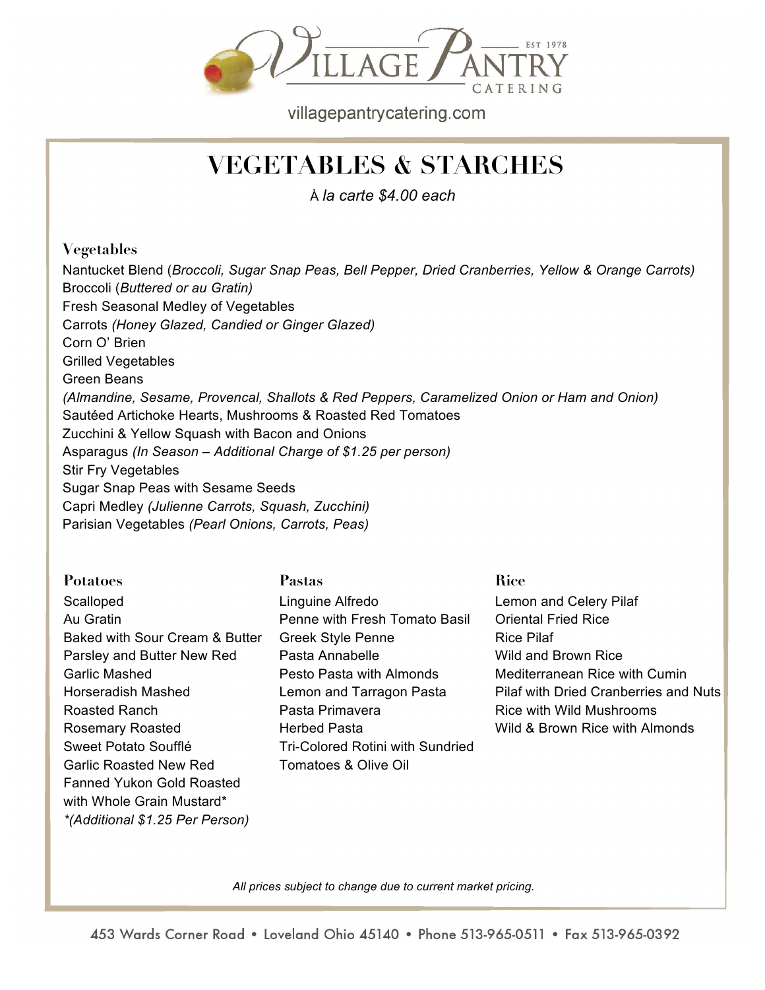

villagepantrycatering.com

# **VEGETABLES & STARCHES**

À *la carte \$4.00 each*

### **Vegetables**

Nantucket Blend (*Broccoli, Sugar Snap Peas, Bell Pepper, Dried Cranberries, Yellow & Orange Carrots)* Broccoli (*Buttered or au Gratin)* Fresh Seasonal Medley of Vegetables Carrots *(Honey Glazed, Candied or Ginger Glazed)* Corn O' Brien Grilled Vegetables Green Beans *(Almandine, Sesame, Provencal, Shallots & Red Peppers, Caramelized Onion or Ham and Onion)* Sautéed Artichoke Hearts, Mushrooms & Roasted Red Tomatoes Zucchini & Yellow Squash with Bacon and Onions Asparagus *(In Season – Additional Charge of \$1.25 per person)* Stir Fry Vegetables Sugar Snap Peas with Sesame Seeds Capri Medley *(Julienne Carrots, Squash, Zucchini)* Parisian Vegetables *(Pearl Onions, Carrots, Peas)*

**Potatoes Scalloped** Au Gratin Baked with Sour Cream & Butter Parsley and Butter New Red Garlic Mashed Horseradish Mashed Roasted Ranch Rosemary Roasted Sweet Potato Soufflé Garlic Roasted New Red Fanned Yukon Gold Roasted with Whole Grain Mustard\* *\*(Additional \$1.25 Per Person)*

**Pastas**  Linguine Alfredo Penne with Fresh Tomato Basil Greek Style Penne Pasta Annabelle Pesto Pasta with Almonds Lemon and Tarragon Pasta Pasta Primavera Herbed Pasta Tri-Colored Rotini with Sundried Tomatoes & Olive Oil

#### **Rice**

Lemon and Celery Pilaf Oriental Fried Rice Rice Pilaf Wild and Brown Rice Mediterranean Rice with Cumin Pilaf with Dried Cranberries and Nuts Rice with Wild Mushrooms Wild & Brown Rice with Almonds

*All prices subject to change due to current market pricing.*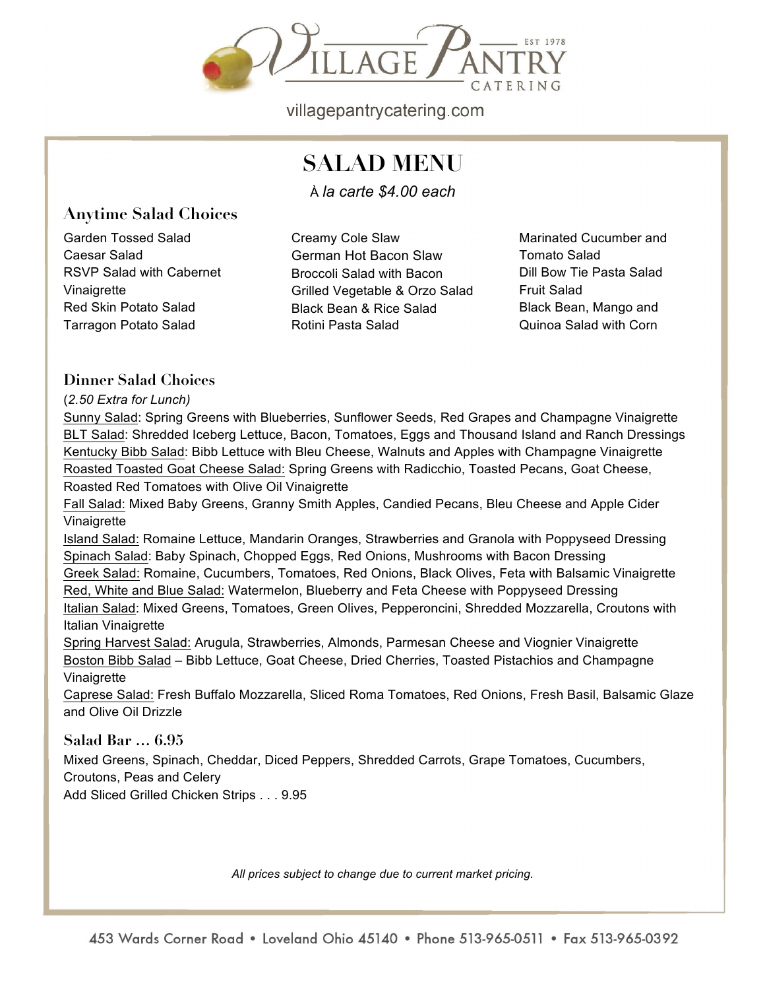

villagepantrycatering.com

## **SALAD MENU**

À *la carte \$4.00 each*

## **Anytime Salad Choices**

Garden Tossed Salad Caesar Salad RSVP Salad with Cabernet Vinaigrette Red Skin Potato Salad Tarragon Potato Salad

Creamy Cole Slaw German Hot Bacon Slaw Broccoli Salad with Bacon Grilled Vegetable & Orzo Salad Black Bean & Rice Salad Rotini Pasta Salad

Marinated Cucumber and Tomato Salad Dill Bow Tie Pasta Salad Fruit Salad Black Bean, Mango and Quinoa Salad with Corn

### **Dinner Salad Choices**

#### (*2.50 Extra for Lunch)*

Sunny Salad: Spring Greens with Blueberries, Sunflower Seeds, Red Grapes and Champagne Vinaigrette BLT Salad: Shredded Iceberg Lettuce, Bacon, Tomatoes, Eggs and Thousand Island and Ranch Dressings Kentucky Bibb Salad: Bibb Lettuce with Bleu Cheese, Walnuts and Apples with Champagne Vinaigrette Roasted Toasted Goat Cheese Salad: Spring Greens with Radicchio, Toasted Pecans, Goat Cheese, Roasted Red Tomatoes with Olive Oil Vinaigrette

Fall Salad: Mixed Baby Greens, Granny Smith Apples, Candied Pecans, Bleu Cheese and Apple Cider Vinaigrette

Island Salad: Romaine Lettuce, Mandarin Oranges, Strawberries and Granola with Poppyseed Dressing Spinach Salad: Baby Spinach, Chopped Eggs, Red Onions, Mushrooms with Bacon Dressing Greek Salad: Romaine, Cucumbers, Tomatoes, Red Onions, Black Olives, Feta with Balsamic Vinaigrette Red, White and Blue Salad: Watermelon, Blueberry and Feta Cheese with Poppyseed Dressing Italian Salad: Mixed Greens, Tomatoes, Green Olives, Pepperoncini, Shredded Mozzarella, Croutons with Italian Vinaigrette

Spring Harvest Salad: Arugula, Strawberries, Almonds, Parmesan Cheese and Viognier Vinaigrette Boston Bibb Salad – Bibb Lettuce, Goat Cheese, Dried Cherries, Toasted Pistachios and Champagne Vinaigrette

Caprese Salad: Fresh Buffalo Mozzarella, Sliced Roma Tomatoes, Red Onions, Fresh Basil, Balsamic Glaze and Olive Oil Drizzle

## **Salad Bar … 6.95**

Mixed Greens, Spinach, Cheddar, Diced Peppers, Shredded Carrots, Grape Tomatoes, Cucumbers, Croutons, Peas and Celery Add Sliced Grilled Chicken Strips . . . 9.95

*All prices subject to change due to current market pricing.*